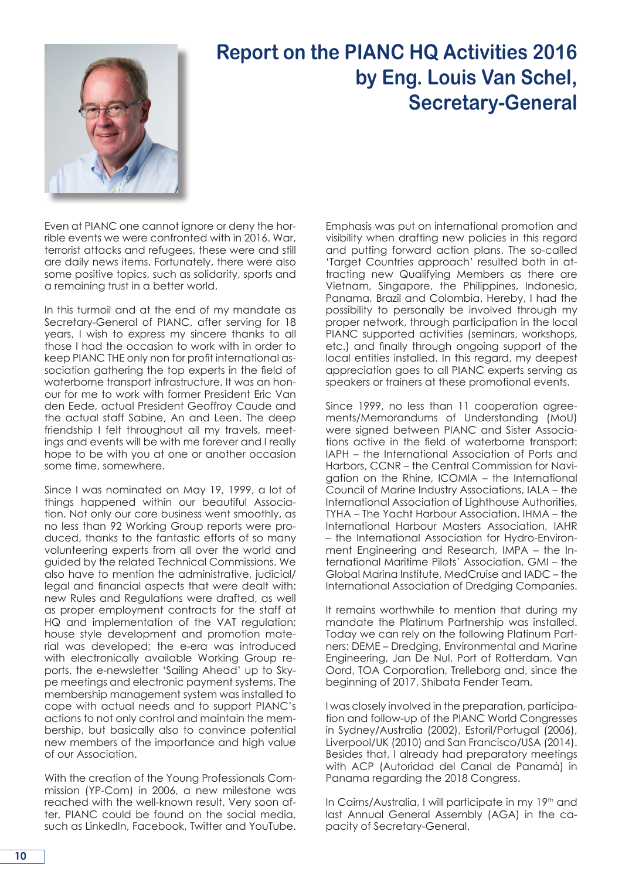

## **Report on the PIANC HQ Activities 2016 by Eng. Louis Van Schel, Secretary-General**

Even at PIANC one cannot ignore or deny the horrible events we were confronted with in 2016. War, terrorist attacks and refugees, these were and still are daily news items. Fortunately, there were also some positive topics, such as solidarity, sports and a remaining trust in a better world.

In this turmoil and at the end of my mandate as Secretary-General of PIANC, after serving for 18 years, I wish to express my sincere thanks to all those I had the occasion to work with in order to keep PIANC THE only non for profit international association gathering the top experts in the field of waterborne transport infrastructure. It was an honour for me to work with former President Eric Van den Eede, actual President Geoffroy Caude and the actual staff Sabine, An and Leen. The deep friendship I felt throughout all my travels, meetings and events will be with me forever and I really hope to be with you at one or another occasion some time, somewhere.

Since I was nominated on May 19, 1999, a lot of things happened within our beautiful Association. Not only our core business went smoothly, as no less than 92 Working Group reports were produced, thanks to the fantastic efforts of so many volunteering experts from all over the world and guided by the related Technical Commissions. We also have to mention the administrative, judicial/ legal and financial aspects that were dealt with: new Rules and Regulations were drafted, as well as proper employment contracts for the staff at HQ and implementation of the VAT regulation; house style development and promotion material was developed; the e-era was introduced with electronically available Working Group reports, the e-newsletter 'Sailing Ahead' up to Skype meetings and electronic payment systems. The membership management system was installed to cope with actual needs and to support PIANC's actions to not only control and maintain the membership, but basically also to convince potential new members of the importance and high value of our Association.

With the creation of the Young Professionals Commission (YP-Com) in 2006, a new milestone was reached with the well-known result. Very soon after, PIANC could be found on the social media, such as LinkedIn, Facebook, Twitter and YouTube. Emphasis was put on international promotion and visibility when drafting new policies in this regard and putting forward action plans. The so-called 'Target Countries approach' resulted both in attracting new Qualifying Members as there are Vietnam, Singapore, the Philippines, Indonesia, Panama, Brazil and Colombia. Hereby, I had the possibility to personally be involved through my proper network, through participation in the local PIANC supported activities (seminars, workshops, etc.) and finally through ongoing support of the local entities installed. In this regard, my deepest appreciation goes to all PIANC experts serving as speakers or trainers at these promotional events.

Since 1999, no less than 11 cooperation agreements/Memorandums of Understanding (MoU) were signed between PIANC and Sister Associations active in the field of waterborne transport: IAPH – the International Association of Ports and Harbors, CCNR – the Central Commission for Navigation on the Rhine, ICOMIA – the International Council of Marine Industry Associations, IALA – the International Association of Lighthouse Authorities, TYHA – The Yacht Harbour Association, IHMA – the International Harbour Masters Association, IAHR – the International Association for Hydro-Environment Engineering and Research, IMPA – the International Maritime Pilots' Association, GMI – the Global Marina Institute, MedCruise and IADC – the International Association of Dredging Companies.

It remains worthwhile to mention that during my mandate the Platinum Partnership was installed. Today we can rely on the following Platinum Partners: DEME – Dredging, Environmental and Marine Engineering, Jan De Nul, Port of Rotterdam, Van Oord, TOA Corporation, Trelleborg and, since the beginning of 2017, Shibata Fender Team.

I was closely involved in the preparation, participation and follow-up of the PIANC World Congresses in Sydney/Australia (2002), Estoril/Portugal (2006), Liverpool/UK (2010) and San Francisco/USA (2014). Besides that, I already had preparatory meetings with ACP (Autoridad del Canal de Panamá) in Panama regarding the 2018 Congress.

In Cairns/Australia, I will participate in my 19<sup>th</sup> and last Annual General Assembly (AGA) in the capacity of Secretary-General.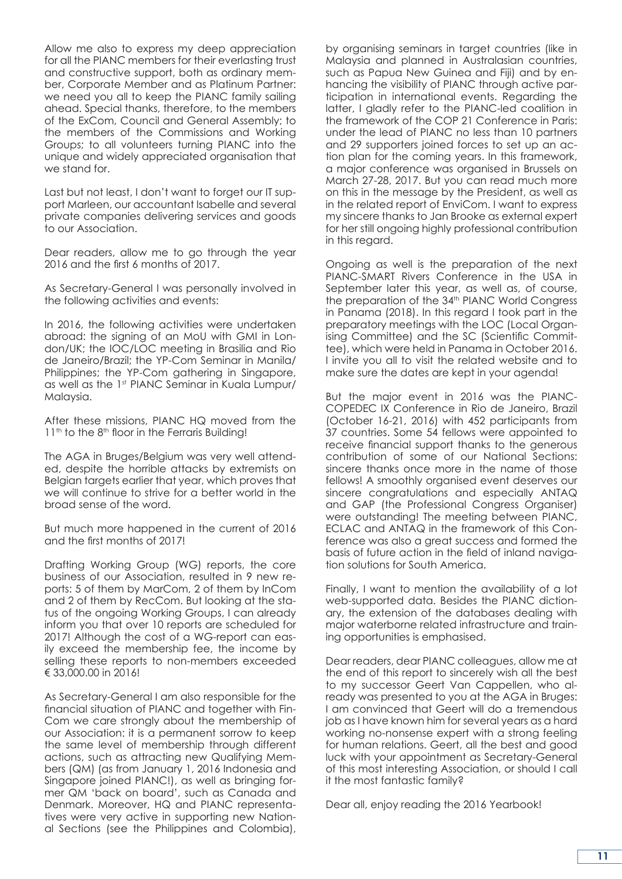Allow me also to express my deep appreciation for all the PIANC members for their everlasting trust and constructive support, both as ordinary member, Corporate Member and as Platinum Partner: we need you all to keep the PIANC family sailing ahead. Special thanks, therefore, to the members of the ExCom, Council and General Assembly; to the members of the Commissions and Working Groups; to all volunteers turning PIANC into the unique and widely appreciated organisation that we stand for.

Last but not least, I don't want to forget our IT support Marleen, our accountant Isabelle and several private companies delivering services and goods to our Association.

Dear readers, allow me to go through the year 2016 and the first 6 months of 2017.

As Secretary-General I was personally involved in the following activities and events:

In 2016, the following activities were undertaken abroad: the signing of an MoU with GMI in London/UK; the IOC/LOC meeting in Brasilia and Rio de Janeiro/Brazil; the YP-Com Seminar in Manila/ Philippines; the YP-Com gathering in Singapore, as well as the 1st PIANC Seminar in Kuala Lumpur/ Malaysia.

After these missions, PIANC HQ moved from the 11<sup>th</sup> to the 8<sup>th</sup> floor in the Ferraris Building!

The AGA in Bruges/Belgium was very well attended, despite the horrible attacks by extremists on Belgian targets earlier that year, which proves that we will continue to strive for a better world in the broad sense of the word.

But much more happened in the current of 2016 and the first months of 2017!

Drafting Working Group (WG) reports, the core business of our Association, resulted in 9 new reports: 5 of them by MarCom, 2 of them by InCom and 2 of them by RecCom. But looking at the status of the ongoing Working Groups, I can already inform you that over 10 reports are scheduled for 2017! Although the cost of a WG-report can easily exceed the membership fee, the income by selling these reports to non-members exceeded  $6,33,000,00$  in 2016!

As Secretary-General I am also responsible for the financial situation of PIANC and together with Fin-Com we care strongly about the membership of our Association: it is a permanent sorrow to keep the same level of membership through different actions, such as attracting new Qualifying Members (QM) (as from January 1, 2016 Indonesia and Singapore joined PIANC!), as well as bringing former QM 'back on board', such as Canada and Denmark. Moreover, HQ and PIANC representatives were very active in supporting new National Sections (see the Philippines and Colombia), by organising seminars in target countries (like in Malaysia and planned in Australasian countries, such as Papua New Guinea and Fiji) and by enhancing the visibility of PIANC through active participation in international events. Regarding the latter, I gladly refer to the PIANC-led coalition in the framework of the COP 21 Conference in Paris: under the lead of PIANC no less than 10 partners and 29 supporters joined forces to set up an action plan for the coming years. In this framework, a major conference was organised in Brussels on March 27-28, 2017. But you can read much more on this in the message by the President, as well as in the related report of EnviCom. I want to express my sincere thanks to Jan Brooke as external expert for her still ongoing highly professional contribution in this reaard.

Ongoing as well is the preparation of the next PIANC-SMART Rivers Conference in the USA in September later this year, as well as, of course, the preparation of the 34<sup>th</sup> PIANC World Congress in Panama (2018). In this regard I took part in the preparatory meetings with the LOC (Local Organising Committee) and the SC (Scientific Committee), which were held in Panama in October 2016. I invite you all to visit the related website and to make sure the dates are kept in your agenda!

But the major event in 2016 was the PIANC-COPEDEC IX Conference in Rio de Janeiro, Brazil (October 16-21, 2016) with 452 participants from 37 countries. Some 54 fellows were appointed to receive financial support thanks to the generous contribution of some of our National Sections: sincere thanks once more in the name of those fellows! A smoothly organised event deserves our sincere congratulations and especially ANTAQ and GAP (the Professional Congress Organiser) were outstanding! The meeting between PIANC, ECLAC and ANTAQ in the framework of this Conference was also a great success and formed the basis of future action in the field of inland navigation solutions for South America.

Finally, I want to mention the availability of a lot web-supported data. Besides the PIANC dictionary, the extension of the databases dealing with major waterborne related infrastructure and training opportunities is emphasised.

Dear readers, dear PIANC colleagues, allow me at the end of this report to sincerely wish all the best to my successor Geert Van Cappellen, who already was presented to you at the AGA in Bruges: I am convinced that Geert will do a tremendous job as I have known him for several years as a hard working no-nonsense expert with a strong feeling for human relations. Geert, all the best and good luck with your appointment as Secretary-General of this most interesting Association, or should I call it the most fantastic family?

Dear all, enjoy reading the 2016 Yearbook!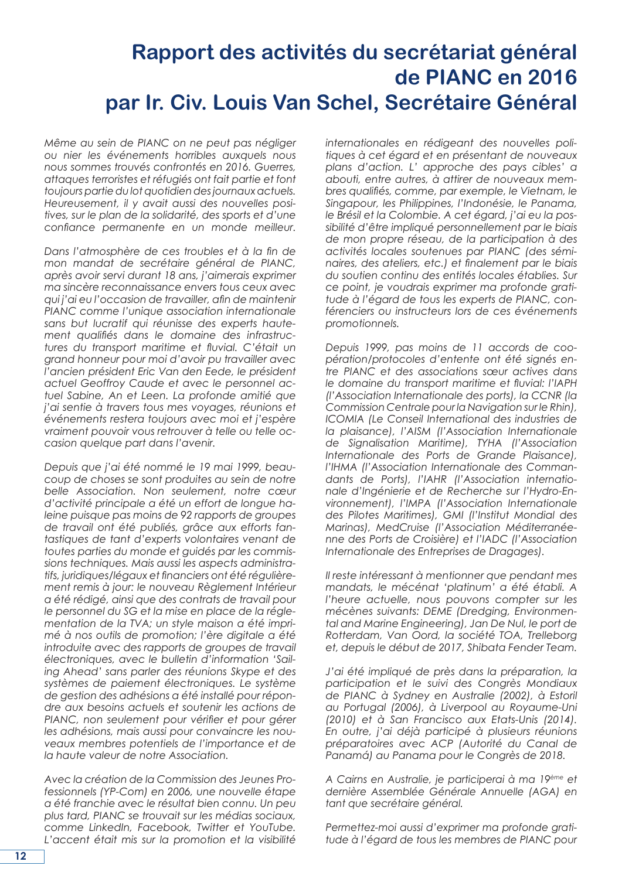## **Rapport des activités du secrétariat général de PIANC en 2016 par Ir. Civ. Louis Van Schel, Secrétaire Général**

*Même au sein de PIANC on ne peut pas négliger ou nier les événements horribles auxquels nous nous sommes trouvés confrontés en 2016. Guerres, attaques terroristes et réfugiés ont fait partie et font toujours partie du lot quotidien des journaux actuels. Heureusement, il y avait aussi des nouvelles positives, sur le plan de la solidarité, des sports et d'une confiance permanente en un monde meilleur.* 

*Dans l'atmosphère de ces troubles et à la fin de mon mandat de secrétaire général de PIANC, après avoir servi durant 18 ans, j'aimerais exprimer ma sincère reconnaissance envers tous ceux avec qui j'ai eu l'occasion de travailler, afin de maintenir PIANC comme l'unique association internationale sans but lucratif qui réunisse des experts hautement qualifiés dans le domaine des infrastructures du transport maritime et fluvial. C'était un grand honneur pour moi d'avoir pu travailler avec l'ancien président Eric Van den Eede, le président actuel Geoffroy Caude et avec le personnel actuel Sabine, An et Leen. La profonde amitié que j'ai sentie à travers tous mes voyages, réunions et événements restera toujours avec moi et j'espère vraiment pouvoir vous retrouver à telle ou telle occasion quelque part dans l'avenir.* 

*Depuis que j'ai été nommé le 19 mai 1999, beaucoup de choses se sont produites au sein de notre belle Association. Non seulement, notre cœur d'activité principale a été un effort de longue haleine puisque pas moins de 92 rapports de groupes de travail ont été publiés, grâce aux efforts fantastiques de tant d'experts volontaires venant de toutes parties du monde et guidés par les commissions techniques. Mais aussi les aspects administratifs, juridiques/légaux et financiers ont été régulièrement remis à jour: le nouveau Règlement Intérieur a été rédigé, ainsi que des contrats de travail pour le personnel du SG et la mise en place de la réglementation de la TVA; un style maison a été imprimé à nos outils de promotion; l'ère digitale a été introduite avec des rapports de groupes de travail électroniques, avec le bulletin d'information 'Sailing Ahead' sans parler des réunions Skype et des systèmes de paiement électroniques. Le système de gestion des adhésions a été installé pour répondre aux besoins actuels et soutenir les actions de PIANC, non seulement pour vérifier et pour gérer les adhésions, mais aussi pour convaincre les nouveaux membres potentiels de l'importance et de la haute valeur de notre Association.* 

*Avec la création de la Commission des Jeunes Professionnels (YP-Com) en 2006, une nouvelle étape a été franchie avec le résultat bien connu. Un peu plus tard, PIANC se trouvait sur les médias sociaux, comme LinkedIn, Facebook, Twitter et YouTube. L'accent était mis sur la promotion et la visibilité*  *internationales en rédigeant des nouvelles politiques à cet égard et en présentant de nouveaux plans d'action. L' approche des pays cibles' a abouti, entre autres, à attirer de nouveaux membres qualifiés, comme, par exemple, le Vietnam, le Singapour, les Philippines, l'Indonésie, le Panama, le Brésil et la Colombie. A cet égard, j'ai eu la possibilité d'être impliqué personnellement par le biais de mon propre réseau, de la participation à des activités locales soutenues par PIANC (des séminaires, des ateliers, etc.) et finalement par le biais du soutien continu des entités locales établies. Sur ce point, je voudrais exprimer ma profonde gratitude à l'égard de tous les experts de PIANC, conférenciers ou instructeurs lors de ces événements promotionnels.* 

*Depuis 1999, pas moins de 11 accords de coopération/protocoles d'entente ont été signés entre PIANC et des associations sœur actives dans le domaine du transport maritime et fluvial: l'IAPH (l'Association Internationale des ports), la CCNR (la Commission Centrale pour la Navigation sur le Rhin), ICOMIA (Le Conseil International des industries de la plaisance), l'AISM (l'Association Internationale de Signalisation Maritime), TYHA (l'Association Internationale des Ports de Grande Plaisance), l'IHMA (l'Association Internationale des Commandants de Ports), l'IAHR (l'Association internationale d'Ingénierie et de Recherche sur l'Hydro-Environnement), l'IMPA (l'Association Internationale des Pilotes Maritimes), GMI (l'Institut Mondial des Marinas), MedCruise (l'Association Méditerranéenne des Ports de Croisière) et l'IADC (l'Association Internationale des Entreprises de Dragages).* 

*Il reste intéressant à mentionner que pendant mes mandats, le mécénat 'platinum' a été établi. A l'heure actuelle, nous pouvons compter sur les mécènes suivants: DEME (Dredging, Environmental and Marine Engineering), Jan De Nul, le port de Rotterdam, Van Oord, la société TOA, Trelleborg et, depuis le début de 2017, Shibata Fender Team.* 

*J'ai été impliqué de près dans la préparation, la participation et le suivi des Congrès Mondiaux de PIANC à Sydney en Australie (2002), à Estoril au Portugal (2006), à Liverpool au Royaume-Uni (2010) et à San Francisco aux Etats-Unis (2014). En outre, j'ai déjà participé à plusieurs réunions préparatoires avec ACP (Autorité du Canal de Panamá) au Panama pour le Congrès de 2018.*

*A Cairns en Australie, je participerai à ma 19ème et dernière Assemblée Générale Annuelle (AGA) en tant que secrétaire général.* 

*Permettez-moi aussi d'exprimer ma profonde gratitude à l'égard de tous les membres de PIANC pour*